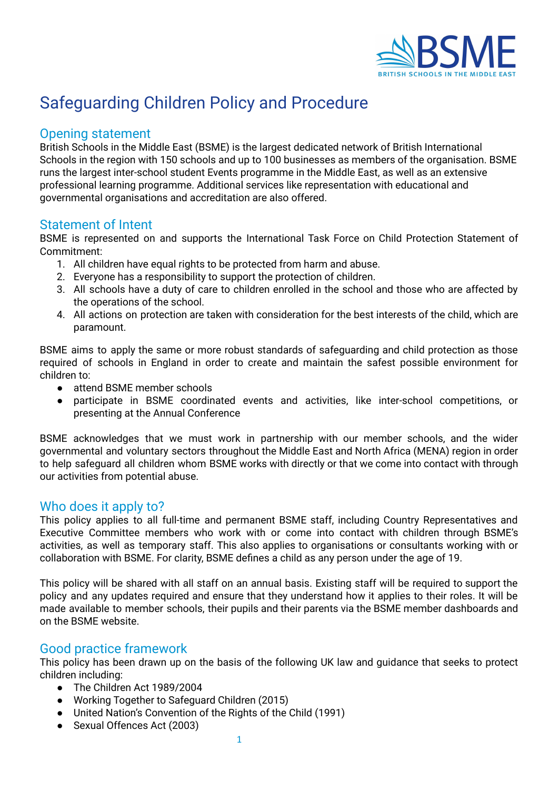

# Safeguarding Children Policy and Procedure

## Opening statement

British Schools in the Middle East (BSME) is the largest dedicated network of British International Schools in the region with 150 schools and up to 100 businesses as members of the organisation. BSME runs the largest inter-school student Events programme in the Middle East, as well as an extensive professional learning programme. Additional services like representation with educational and governmental organisations and accreditation are also offered.

# Statement of Intent

BSME is represented on and supports the International Task Force on Child Protection Statement of Commitment:

- 1. All children have equal rights to be protected from harm and abuse.
- 2. Everyone has a responsibility to support the protection of children.
- 3. All schools have a duty of care to children enrolled in the school and those who are affected by the operations of the school.
- 4. All actions on protection are taken with consideration for the best interests of the child, which are paramount.

BSME aims to apply the same or more robust standards of safeguarding and child protection as those required of schools in England in order to create and maintain the safest possible environment for children to:

- attend BSMF member schools
- participate in BSME coordinated events and activities, like inter-school competitions, or presenting at the Annual Conference

BSME acknowledges that we must work in partnership with our member schools, and the wider governmental and voluntary sectors throughout the Middle East and North Africa (MENA) region in order to help safeguard all children whom BSME works with directly or that we come into contact with through our activities from potential abuse.

# Who does it apply to?

This policy applies to all full-time and permanent BSME staff, including Country Representatives and Executive Committee members who work with or come into contact with children through BSME's activities, as well as temporary staff. This also applies to organisations or consultants working with or collaboration with BSME. For clarity, BSME defines a child as any person under the age of 19.

This policy will be shared with all staff on an annual basis. Existing staff will be required to support the policy and any updates required and ensure that they understand how it applies to their roles. It will be made available to member schools, their pupils and their parents via the BSME member dashboards and on the BSME website.

# Good practice framework

This policy has been drawn up on the basis of the following UK law and guidance that seeks to protect children including:

- The Children Act 1989/2004
- Working Together to Safeguard Children (2015)
- United Nation's Convention of the Rights of the Child (1991)
- Sexual Offences Act (2003)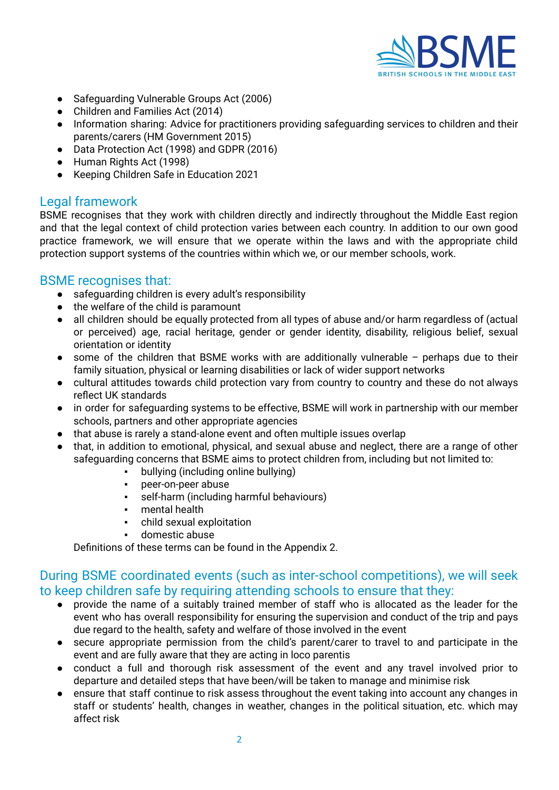

- Safeguarding Vulnerable Groups Act (2006)
- Children and Families Act (2014)
- Information sharing: Advice for practitioners providing safeguarding services to children and their parents/carers (HM Government 2015)
- Data Protection Act (1998) and GDPR (2016)
- Human Rights Act (1998)
- Keeping Children Safe in Education 2021

## Legal framework

BSME recognises that they work with children directly and indirectly throughout the Middle East region and that the legal context of child protection varies between each country. In addition to our own good practice framework, we will ensure that we operate within the laws and with the appropriate child protection support systems of the countries within which we, or our member schools, work.

## BSME recognises that:

- safeguarding children is every adult's responsibility
- the welfare of the child is paramount
- all children should be equally protected from all types of abuse and/or harm regardless of (actual or perceived) age, racial heritage, gender or gender identity, disability, religious belief, sexual orientation or identity
- some of the children that BSME works with are additionally vulnerable perhaps due to their family situation, physical or learning disabilities or lack of wider support networks
- cultural attitudes towards child protection vary from country to country and these do not always reflect UK standards
- in order for safeguarding systems to be effective, BSME will work in partnership with our member schools, partners and other appropriate agencies
- that abuse is rarely a stand-alone event and often multiple issues overlap
- that, in addition to emotional, physical, and sexual abuse and neglect, there are a range of other safeguarding concerns that BSME aims to protect children from, including but not limited to:
	- bullying (including online bullying)
	- peer-on-peer abuse
	- self-harm (including harmful behaviours)
	- mental health
	- child sexual exploitation
	- domestic abuse

Definitions of these terms can be found in the Appendix 2.

# During BSME coordinated events (such as inter-school competitions), we will seek to keep children safe by requiring attending schools to ensure that they:

- provide the name of a suitably trained member of staff who is allocated as the leader for the event who has overall responsibility for ensuring the supervision and conduct of the trip and pays due regard to the health, safety and welfare of those involved in the event
- secure appropriate permission from the child's parent/carer to travel to and participate in the event and are fully aware that they are acting in loco parentis
- conduct a full and thorough risk assessment of the event and any travel involved prior to departure and detailed steps that have been/will be taken to manage and minimise risk
- ensure that staff continue to risk assess throughout the event taking into account any changes in staff or students' health, changes in weather, changes in the political situation, etc. which may affect risk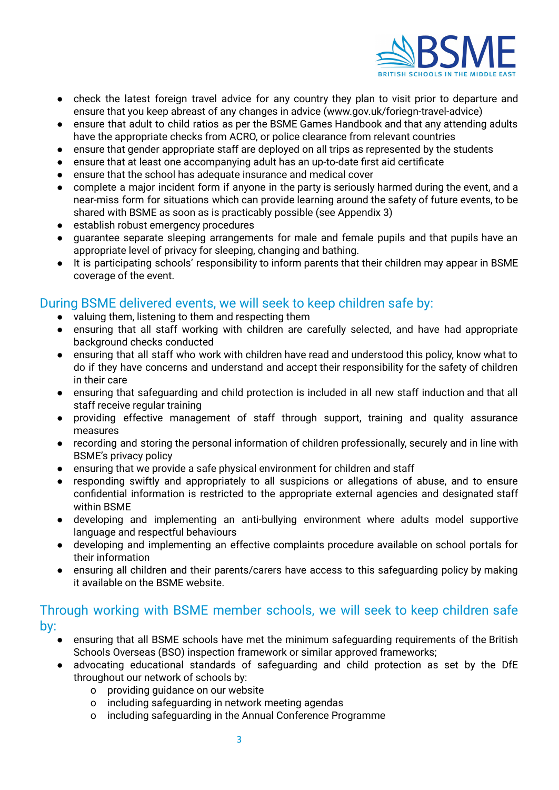

- check the latest foreign travel advice for any country they plan to visit prior to departure and ensure that you keep abreast of any changes in advice (www.gov.uk/foriegn-travel-advice)
- ensure that adult to child ratios as per the BSME Games Handbook and that any attending adults have the appropriate checks from ACRO, or police clearance from relevant countries
- ensure that gender appropriate staff are deployed on all trips as represented by the students
- ensure that at least one accompanying adult has an up-to-date first aid certificate
- ensure that the school has adequate insurance and medical cover
- complete a major incident form if anyone in the party is seriously harmed during the event, and a near-miss form for situations which can provide learning around the safety of future events, to be shared with BSME as soon as is practicably possible (see Appendix 3)
- establish robust emergency procedures
- guarantee separate sleeping arrangements for male and female pupils and that pupils have an appropriate level of privacy for sleeping, changing and bathing.
- It is participating schools' responsibility to inform parents that their children may appear in BSME coverage of the event.

# During BSME delivered events, we will seek to keep children safe by:

- valuing them, listening to them and respecting them
- ensuring that all staff working with children are carefully selected, and have had appropriate background checks conducted
- ensuring that all staff who work with children have read and understood this policy, know what to do if they have concerns and understand and accept their responsibility for the safety of children in their care
- ensuring that safeguarding and child protection is included in all new staff induction and that all staff receive regular training
- providing effective management of staff through support, training and quality assurance measures
- recording and storing the personal information of children professionally, securely and in line with BSME's privacy policy
- ensuring that we provide a safe physical environment for children and staff
- responding swiftly and appropriately to all suspicions or allegations of abuse, and to ensure confidential information is restricted to the appropriate external agencies and designated staff within BSME
- developing and implementing an anti-bullying environment where adults model supportive language and respectful behaviours
- developing and implementing an effective complaints procedure available on school portals for their information
- ensuring all children and their parents/carers have access to this safeguarding policy by making it available on the BSME website.

## Through working with BSME member schools, we will seek to keep children safe by:

- ensuring that all BSME schools have met the minimum safeguarding requirements of the British Schools Overseas (BSO) inspection framework or similar approved frameworks;
- advocating educational standards of safeguarding and child protection as set by the DfE throughout our network of schools by:
	- o providing guidance on our website
	- o including safeguarding in network meeting agendas
	- o including safeguarding in the Annual Conference Programme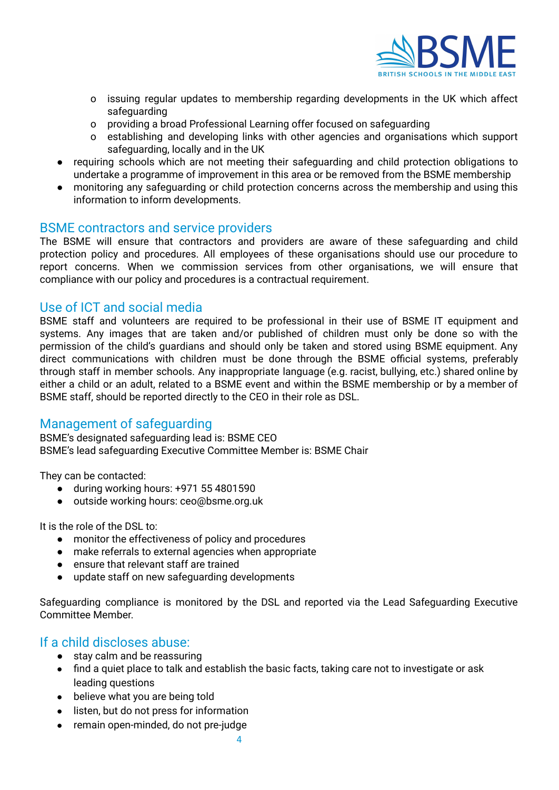

- o issuing regular updates to membership regarding developments in the UK which affect safeguarding
- o providing a broad Professional Learning offer focused on safeguarding
- o establishing and developing links with other agencies and organisations which support safeguarding, locally and in the UK
- requiring schools which are not meeting their safeguarding and child protection obligations to undertake a programme of improvement in this area or be removed from the BSME membership
- monitoring any safeguarding or child protection concerns across the membership and using this information to inform developments.

### BSME contractors and service providers

The BSME will ensure that contractors and providers are aware of these safeguarding and child protection policy and procedures. All employees of these organisations should use our procedure to report concerns. When we commission services from other organisations, we will ensure that compliance with our policy and procedures is a contractual requirement.

## Use of ICT and social media

BSME staff and volunteers are required to be professional in their use of BSME IT equipment and systems. Any images that are taken and/or published of children must only be done so with the permission of the child's guardians and should only be taken and stored using BSME equipment. Any direct communications with children must be done through the BSME official systems, preferably through staff in member schools. Any inappropriate language (e.g. racist, bullying, etc.) shared online by either a child or an adult, related to a BSME event and within the BSME membership or by a member of BSME staff, should be reported directly to the CEO in their role as DSL.

## Management of safeguarding

BSME's designated safeguarding lead is: BSME CEO BSME's lead safeguarding Executive Committee Member is: BSME Chair

They can be contacted:

- $\bullet$  during working hours:  $+971$  55 4801590
- outside working hours: ceo@bsme.org.uk

It is the role of the DSL to:

- monitor the effectiveness of policy and procedures
- make referrals to external agencies when appropriate
- ensure that relevant staff are trained
- update staff on new safeguarding developments

Safeguarding compliance is monitored by the DSL and reported via the Lead Safeguarding Executive Committee Member.

# If a child discloses abuse:

- stay calm and be reassuring
- find a quiet place to talk and establish the basic facts, taking care not to investigate or ask leading questions
- believe what you are being told
- listen, but do not press for information
- remain open-minded, do not pre-judge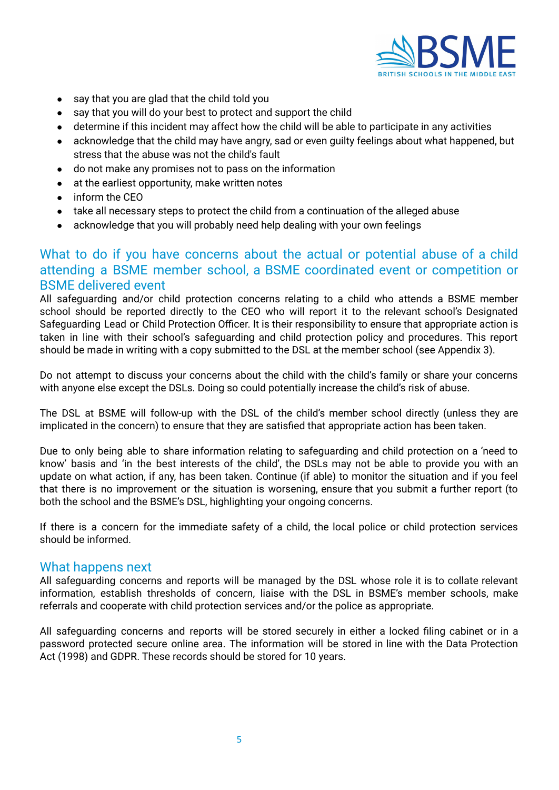

- say that you are glad that the child told you
- say that you will do your best to protect and support the child
- determine if this incident may affect how the child will be able to participate in any activities
- acknowledge that the child may have angry, sad or even guilty feelings about what happened, but stress that the abuse was not the child's fault
- do not make any promises not to pass on the information
- at the earliest opportunity, make written notes
- inform the CEO
- take all necessary steps to protect the child from a continuation of the alleged abuse
- acknowledge that you will probably need help dealing with your own feelings

# What to do if you have concerns about the actual or potential abuse of a child attending a BSME member school, a BSME coordinated event or competition or BSME delivered event

All safeguarding and/or child protection concerns relating to a child who attends a BSME member school should be reported directly to the CEO who will report it to the relevant school's Designated Safeguarding Lead or Child Protection Officer. It is their responsibility to ensure that appropriate action is taken in line with their school's safeguarding and child protection policy and procedures. This report should be made in writing with a copy submitted to the DSL at the member school (see Appendix 3).

Do not attempt to discuss your concerns about the child with the child's family or share your concerns with anyone else except the DSLs. Doing so could potentially increase the child's risk of abuse.

The DSL at BSME will follow-up with the DSL of the child's member school directly (unless they are implicated in the concern) to ensure that they are satisfied that appropriate action has been taken.

Due to only being able to share information relating to safeguarding and child protection on a 'need to know' basis and 'in the best interests of the child', the DSLs may not be able to provide you with an update on what action, if any, has been taken. Continue (if able) to monitor the situation and if you feel that there is no improvement or the situation is worsening, ensure that you submit a further report (to both the school and the BSME's DSL, highlighting your ongoing concerns.

If there is a concern for the immediate safety of a child, the local police or child protection services should be informed.

#### What happens next

All safeguarding concerns and reports will be managed by the DSL whose role it is to collate relevant information, establish thresholds of concern, liaise with the DSL in BSME's member schools, make referrals and cooperate with child protection services and/or the police as appropriate.

All safeguarding concerns and reports will be stored securely in either a locked filing cabinet or in a password protected secure online area. The information will be stored in line with the Data Protection Act (1998) and GDPR. These records should be stored for 10 years.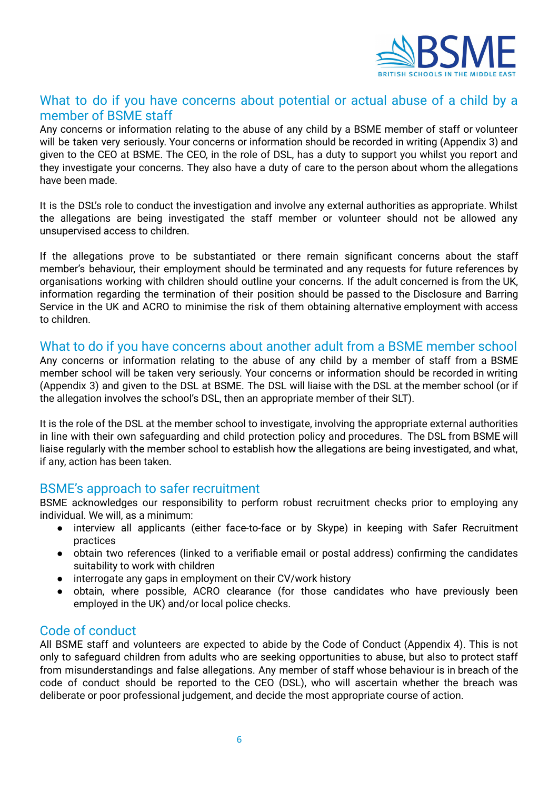

# What to do if you have concerns about potential or actual abuse of a child by a member of BSME staff

Any concerns or information relating to the abuse of any child by a BSME member of staff or volunteer will be taken very seriously. Your concerns or information should be recorded in writing (Appendix 3) and given to the CEO at BSME. The CEO, in the role of DSL, has a duty to support you whilst you report and they investigate your concerns. They also have a duty of care to the person about whom the allegations have been made.

It is the DSL's role to conduct the investigation and involve any external authorities as appropriate. Whilst the allegations are being investigated the staff member or volunteer should not be allowed any unsupervised access to children.

If the allegations prove to be substantiated or there remain significant concerns about the staff member's behaviour, their employment should be terminated and any requests for future references by organisations working with children should outline your concerns. If the adult concerned is from the UK, information regarding the termination of their position should be passed to the Disclosure and Barring Service in the UK and ACRO to minimise the risk of them obtaining alternative employment with access to children.

### What to do if you have concerns about another adult from a BSME member school

Any concerns or information relating to the abuse of any child by a member of staff from a BSME member school will be taken very seriously. Your concerns or information should be recorded in writing (Appendix 3) and given to the DSL at BSME. The DSL will liaise with the DSL at the member school (or if the allegation involves the school's DSL, then an appropriate member of their SLT).

It is the role of the DSL at the member school to investigate, involving the appropriate external authorities in line with their own safeguarding and child protection policy and procedures. The DSL from BSME will liaise regularly with the member school to establish how the allegations are being investigated, and what, if any, action has been taken.

## BSME's approach to safer recruitment

BSME acknowledges our responsibility to perform robust recruitment checks prior to employing any individual. We will, as a minimum:

- interview all applicants (either face-to-face or by Skype) in keeping with Safer Recruitment practices
- obtain two references (linked to a verifiable email or postal address) confirming the candidates suitability to work with children
- interrogate any gaps in employment on their CV/work history
- obtain, where possible, ACRO clearance (for those candidates who have previously been employed in the UK) and/or local police checks.

## Code of conduct

All BSME staff and volunteers are expected to abide by the Code of Conduct (Appendix 4). This is not only to safeguard children from adults who are seeking opportunities to abuse, but also to protect staff from misunderstandings and false allegations. Any member of staff whose behaviour is in breach of the code of conduct should be reported to the CEO (DSL), who will ascertain whether the breach was deliberate or poor professional judgement, and decide the most appropriate course of action.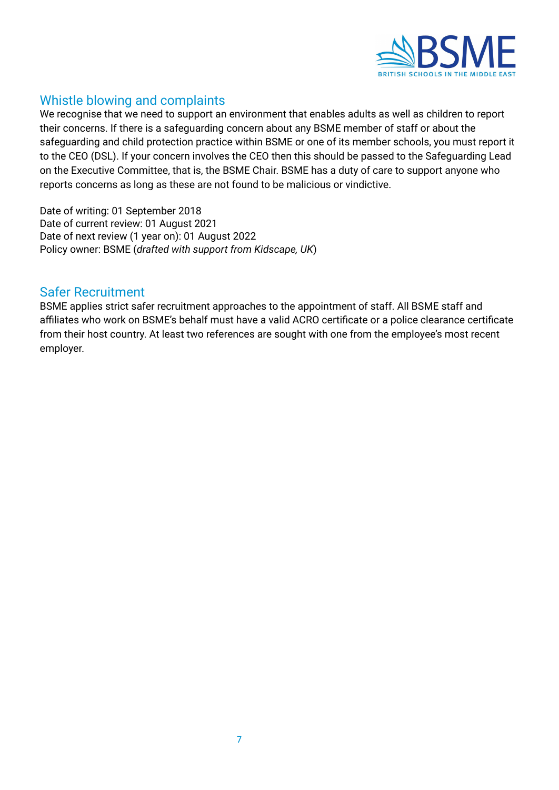

# Whistle blowing and complaints

We recognise that we need to support an environment that enables adults as well as children to report their concerns. If there is a safeguarding concern about any BSME member of staff or about the safeguarding and child protection practice within BSME or one of its member schools, you must report it to the CEO (DSL). If your concern involves the CEO then this should be passed to the Safeguarding Lead on the Executive Committee, that is, the BSME Chair. BSME has a duty of care to support anyone who reports concerns as long as these are not found to be malicious or vindictive.

Date of writing: 01 September 2018 Date of current review: 01 August 2021 Date of next review (1 year on): 01 August 2022 Policy owner: BSME (*drafted with support from Kidscape, UK*)

## Safer Recruitment

BSME applies strict safer recruitment approaches to the appointment of staff. All BSME staff and affiliates who work on BSME's behalf must have a valid ACRO certificate or a police clearance certificate from their host country. At least two references are sought with one from the employee's most recent employer.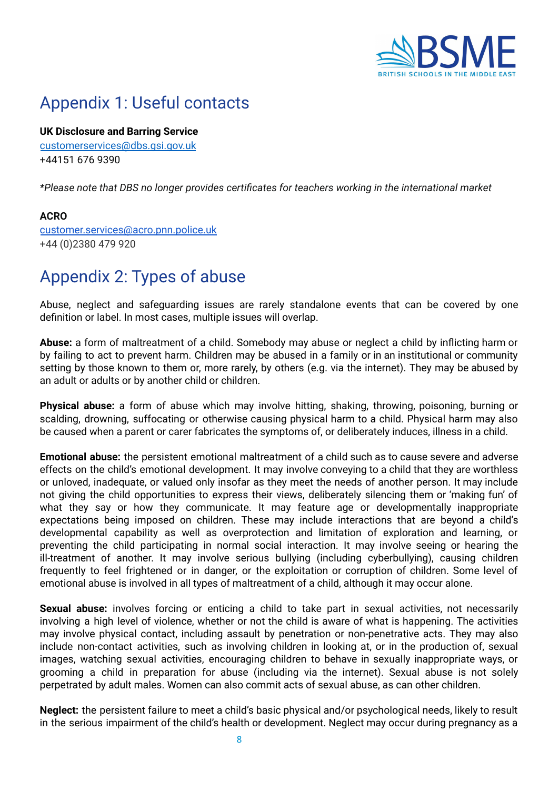

# Appendix 1: Useful contacts

#### **UK Disclosure and Barring Service**

[customerservices@dbs.gsi.gov.uk](mailto:customerservices@dbs.gsi.gov.uk) +44151 676 9390

*\*Please note that DBS no longer provides certificates for teachers working in the international market*

#### **ACRO**

[customer.services@acro.pnn.police.uk](mailto:customer.services@acro.pnn.police.uk) +44 (0)2380 479 920

# Appendix 2: Types of abuse

Abuse, neglect and safeguarding issues are rarely standalone events that can be covered by one definition or label. In most cases, multiple issues will overlap.

**Abuse:** a form of maltreatment of a child. Somebody may abuse or neglect a child by inflicting harm or by failing to act to prevent harm. Children may be abused in a family or in an institutional or community setting by those known to them or, more rarely, by others (e.g. via the internet). They may be abused by an adult or adults or by another child or children.

**Physical abuse:** a form of abuse which may involve hitting, shaking, throwing, poisoning, burning or scalding, drowning, suffocating or otherwise causing physical harm to a child. Physical harm may also be caused when a parent or carer fabricates the symptoms of, or deliberately induces, illness in a child.

**Emotional abuse:** the persistent emotional maltreatment of a child such as to cause severe and adverse effects on the child's emotional development. It may involve conveying to a child that they are worthless or unloved, inadequate, or valued only insofar as they meet the needs of another person. It may include not giving the child opportunities to express their views, deliberately silencing them or 'making fun' of what they say or how they communicate. It may feature age or developmentally inappropriate expectations being imposed on children. These may include interactions that are beyond a child's developmental capability as well as overprotection and limitation of exploration and learning, or preventing the child participating in normal social interaction. It may involve seeing or hearing the ill-treatment of another. It may involve serious bullying (including cyberbullying), causing children frequently to feel frightened or in danger, or the exploitation or corruption of children. Some level of emotional abuse is involved in all types of maltreatment of a child, although it may occur alone.

**Sexual abuse:** involves forcing or enticing a child to take part in sexual activities, not necessarily involving a high level of violence, whether or not the child is aware of what is happening. The activities may involve physical contact, including assault by penetration or non-penetrative acts. They may also include non-contact activities, such as involving children in looking at, or in the production of, sexual images, watching sexual activities, encouraging children to behave in sexually inappropriate ways, or grooming a child in preparation for abuse (including via the internet). Sexual abuse is not solely perpetrated by adult males. Women can also commit acts of sexual abuse, as can other children.

**Neglect:** the persistent failure to meet a child's basic physical and/or psychological needs, likely to result in the serious impairment of the child's health or development. Neglect may occur during pregnancy as a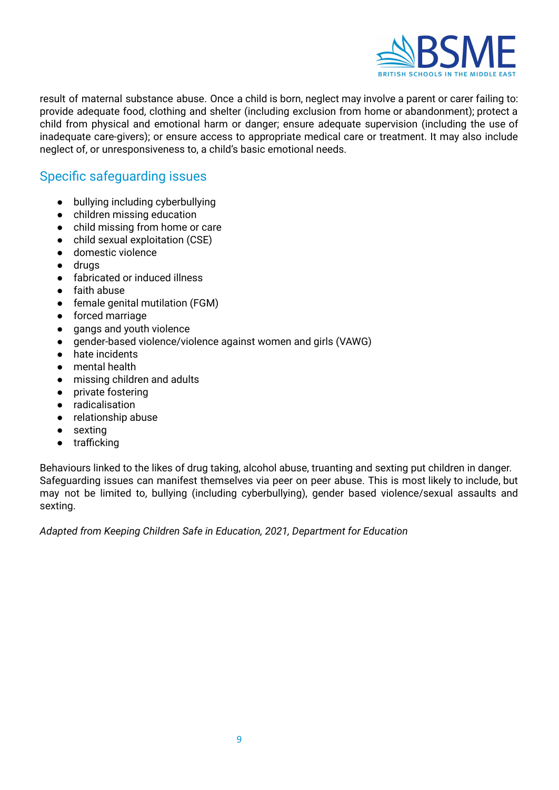

result of maternal substance abuse. Once a child is born, neglect may involve a parent or carer failing to: provide adequate food, clothing and shelter (including exclusion from home or abandonment); protect a child from physical and emotional harm or danger; ensure adequate supervision (including the use of inadequate care-givers); or ensure access to appropriate medical care or treatment. It may also include neglect of, or unresponsiveness to, a child's basic emotional needs.

# Specific safeguarding issues

- bullying including cyberbullying
- children missing education
- child missing from home or care
- child sexual exploitation (CSE)
- domestic violence
- drugs
- fabricated or induced illness
- faith abuse
- female genital mutilation (FGM)
- forced marriage
- gangs and youth violence
- gender-based violence/violence against women and girls (VAWG)
- hate incidents
- mental health
- missing children and adults
- private fostering
- radicalisation
- relationship abuse
- sexting
- trafficking

Behaviours linked to the likes of drug taking, alcohol abuse, truanting and sexting put children in danger. Safeguarding issues can manifest themselves via peer on peer abuse. This is most likely to include, but may not be limited to, bullying (including cyberbullying), gender based violence/sexual assaults and sexting.

*Adapted from Keeping Children Safe in Education, 2021, Department for Education*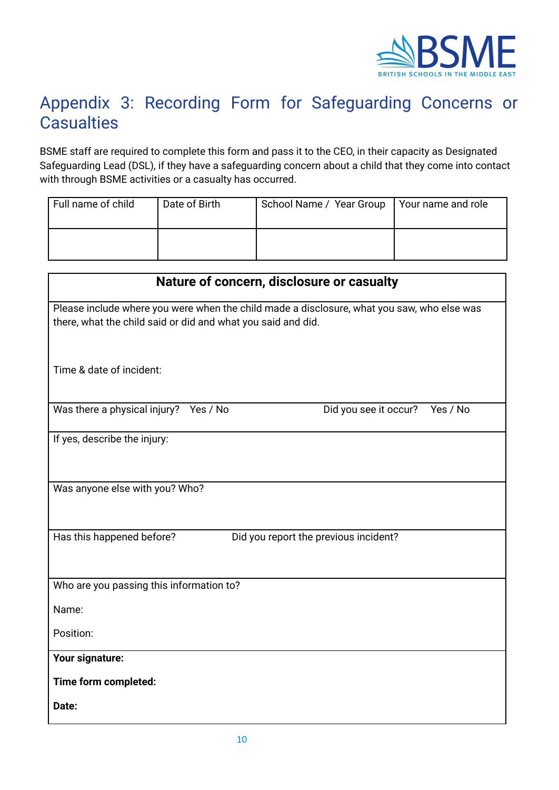

# Appendix 3: Recording Form for Safeguarding Concerns or **Casualties**

BSME staff are required to complete this form and pass it to the CEO, in their capacity as Designated Safeguarding Lead (DSL), if they have a safeguarding concern about a child that they come into contact with through BSME activities or a casualty has occurred.

| Full name of child | Date of Birth | School Name / Year Group | Your name and role |
|--------------------|---------------|--------------------------|--------------------|
|                    |               |                          |                    |

| Nature of concern, disclosure or casualty                                                  |  |  |  |  |
|--------------------------------------------------------------------------------------------|--|--|--|--|
| Please include where you were when the child made a disclosure, what you saw, who else was |  |  |  |  |
| there, what the child said or did and what you said and did.                               |  |  |  |  |
| Time & date of incident:                                                                   |  |  |  |  |
| Was there a physical injury? Yes / No<br>Did you see it occur? Yes / No                    |  |  |  |  |
| If yes, describe the injury:                                                               |  |  |  |  |
| Was anyone else with you? Who?                                                             |  |  |  |  |
| Has this happened before?<br>Did you report the previous incident?                         |  |  |  |  |
| Who are you passing this information to?                                                   |  |  |  |  |
| Name:                                                                                      |  |  |  |  |
| Position:                                                                                  |  |  |  |  |
| Your signature:                                                                            |  |  |  |  |
| Time form completed:                                                                       |  |  |  |  |
| Date:                                                                                      |  |  |  |  |

10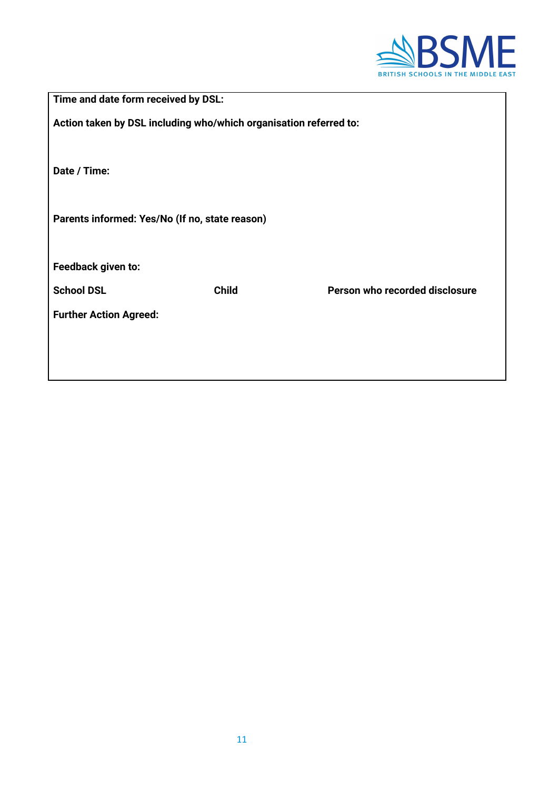

| Time and date form received by DSL:                               |              |                                |
|-------------------------------------------------------------------|--------------|--------------------------------|
| Action taken by DSL including who/which organisation referred to: |              |                                |
| Date / Time:                                                      |              |                                |
| Parents informed: Yes/No (If no, state reason)                    |              |                                |
| Feedback given to:                                                |              |                                |
| <b>School DSL</b>                                                 | <b>Child</b> | Person who recorded disclosure |
| <b>Further Action Agreed:</b>                                     |              |                                |
|                                                                   |              |                                |
|                                                                   |              |                                |